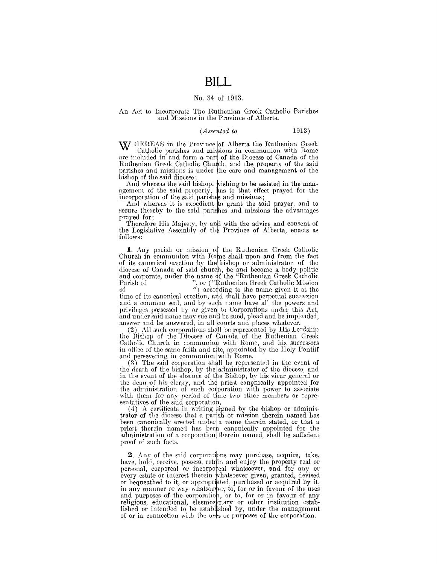## **BILL**

#### No. 34 pf 1913.

#### An Act to Incorporate The Ruthenian Greek Catholic Parishes and Missions in the Province of Alberta.

#### $(A$ *ssented to*  $1913)$

W HEREAS in the Province of Alberta the Ruthenian Greek Catholic parishes and missions in communion with Rome are included in and form a part of the Diocese of Canada of the Ruthenian Greek Catholic Church, and the property of the said parishes and missions is under the care and management of the

bishop of the said diocese;<br>And whereas the said bishop, wishing to be assisted in the man-And whereas the said bishop, wishing to be assisted in the man-<br>agement of the said property, has to that effect prayed for the incorporation of the said parishes and missions;

And whereas it is expedient to grant the said prayer, and to secure thereby to the said parishes and missions the advantages prayed for;

Therefore His Majesty, by and with the advice and consent of the Legislative Assembly of the Province of Alberta, enacts as follows:

**1.** Any parish or mission of the Ruthenian Greek Catholic Church in communion with Rome shall upon and from the fact of its canonical erection by the bishop or administrator of the diocese of Canada of said church, be and become a body politic and corporate, under the name of the "Ruthenian Greek Catholic Parish of ", or ("Ruthenian Greek Catholic Mission"), or ("Ruthenian Greek Catholic Mission

of  $''$ ) according to the name given it at the time of its canonical erection, and shall have perpetual succession and a common seal, and by sudh name have all the powers and privileges possessed by or given to Corporations under this Act, and under said name may sue and be sued, plead an'd be impleaded, answer and be answered, in all courts and places whatever.

 $(2)$  All such corporations shall be represented by His Lordship the Bishop of the Diocese of Canada of the Ruthenian Greek<br>Catholic Church in communion with Rome, and his successors Catholic Church in communion with Rome, and his successors<br>in office of the same faith and rite, appointed by the Holy Pontiff and persevering in communion with Rome.

(3) The said corporation shall be represented in the event of the death of the bishop, by the administrator of the diocese, and in the event of the absence of the Bishop, by his vicar general or the dean of his clergy, and the priest canonically appointed for the administration of such corporation with power to associate with them for any period of time two other members or repre-

sentatives of the said corporation.<br>(4) A certificate in writing signed by the bishop or administrator of the diocese that a partsh or mission therein named has been canonically erected under a name therein stated, or that a priest therein named has been canonically appointed for the administration of a corporation therein named, shall be sufficient proof of such facts.

**2**. Any of the said corporations may purchase, acquire, take, have, hold, receive, possess, retain and enjoy the property real or personal, corporeal or incorporeal whatsoever, and for any or every estate or interest therein whatsoever given, granted, devised or bequeathed to it, or appropr'ated, purchased or acquired by it, in any manner or way whatsoever, to, for or in favour of the uses and purposes of the corporation, or to, for or in favour. of any religious, educational, eleemosynary or other institution established or intended to be established by, under the management of or in connection with the uses or purposes of the corporation.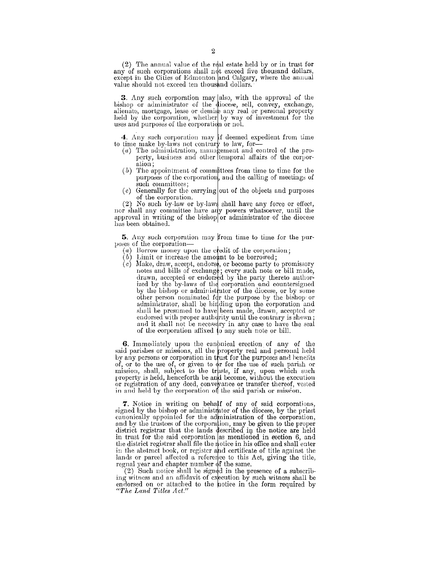(2) The annual value of the real estate held by or in trust for any of such corporations shall not exceed five thousand dollars, except in the Cities of Edmonton and Calgary, where the annual value should not exceed ten thousand dollars.

3. Any such corporation may also, with the approval of the bishop or administrator of the diocese, sell, convey, exchange, alienate, mortgage, lease or demise any real or personal property held by the corporation, whether by way of investment for the uses and purposes of the corporation or not.

4. Any such corporation may if deemed expedient from time<br>to time make by-laws not contrary to law, for-

- $(a)$  The administration, management and control of the pro-<br>perty, business and other ltemporal affairs of the corporation:
- $(b)$  The appointment of committees from time to time for the purposes of the corporation, and the calling of meetings of such committees;
- (c) Generally for the carrying out of the objects and purposes of the corporation.

(2) No such by-law or by-laws shall have any force or effect, nor shall any committee have any powers whatsoever, until the approval in writing of the bishop or administrator of the diocese has been obtained.

5. Any such corporation may from time to time for the purposes of the corporation-

- (a) Borrow money upon the credit of the corporation;
- $(b)$  Limit or increase the amount to be borrowed;
- (c) Emire of mercade the amount to be befored,<br>(e) Make, draw, accept, endorse, or become party to promissory<br>notes and bills of exchange; every such note or bill made,<br>drawn, accepted or endorsed by the party thereto auth ized by the by-laws of the corporation and countersigned<br>by the bishop or administrator of the diocese, or by some other person nominated for the purpose by the bishop or administrator, shall be binding upon the corporation and shall be presumed to have been made, drawn, accepted or endorsed with proper authority until the contrary is shewn; and it shall not be necessary in any case to have the seal of the corporation affixed to any such note or bill.

**6.** Immediately upon the canonical erection of any of the said parishes or missions, all the property real and personal held<br>by any persons or corporation in trust for the purposes and henefits<br>of, or to the use of, or given to or for the use of such parish or mission, shall, subject to the trusts, if any, upon which such property is held, henceforth be and become, without the execution or registration of any deed, conveyance or transfer thereof, vested<br>in and held by the corporation of the said parish or mission.

7. Notice in writing on behalf of any of said corporations, signed by the bishop or administrator of the diocese, by the priest canonically appointed for the administration of the corporation, and by the trustees of the corporation, may be given to the proper district registrar that the lands described in the notice are held in trust for the said corporation as mentioned in section 6, and<br>the district registrar shall file the notice in his office and shall enter<br>in the abstract book, or register and certificate of title against the lands or parcel affected a reference to this Act, giving the title, regnal year and chapter number of the same.

(2) Such notice shall be signed in the presence of a subscribing witness and an affidavit of execution by such witness shall be endorsed on or attached to the hotice in the form required by "The Land Titles Act."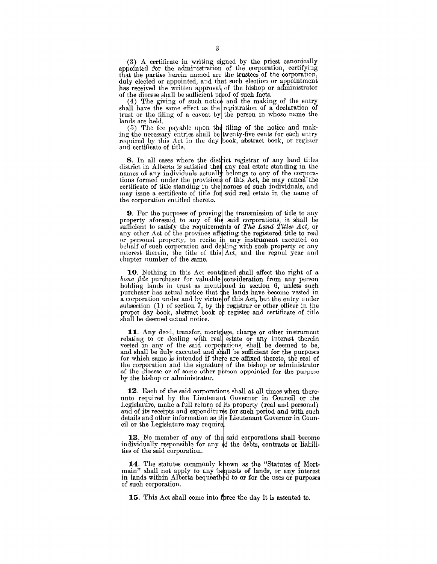(3) A certificate in writing signed by the priest canonically appointed for the administration of the corporation, certifying that the parties herein named are the trustees of the corporation, duly elected or appointed, and that such election or appointment has received the written approval of the bishop or administrator of the diocese shall be sufficient proof of such facts.

 $(4)$  The giving of such notice and the making of the entry shall have the same effect as the registration of a declaration of trust or the filing of a caveat by the person in whose name the lands are held.

 $(5)$  The fee payable upon the filing of the notice and making the necessary entries shall be twenty-five cents for each entry required by this Act in the day book, abstract book, or register and certificate of title.

8. In all cases where the district registrar of any land titles district in Alberta is satisfied that any real estate standing in the names of any individuals actually belongs to any of the corporations formed under the provisions of this Act, he may cancel the certificate of title standing in the names of such individuals, and may issue a certificate of title for said real estate in the name of the corporation en titled thereto.

**9.** For the purposes of proving the transmission of title to any property aforesaid to any of the said corporations, it shall be mfiicient to satisfy the requirem nts of *The Land Titles Act,* or any other Act of the province affecting the registered title to real or personal property, to recite in any instrument executed on behalf of such corporation and dealing with such property or any mterest therein, the title of this Act, and the regnal year and chapter number of the same.

10. Nothing in this Act contained shall affect the right of a *bona fide* purchaser for valuable consideration from any person holding lands in trust as mentipned in section  $6$ , unless such purchaser has actual notice that the lands have become vested in a corporation under and by virtue of this Act, but the entry under subsection (1) of section  $\tilde{7}$ , by the registrar or other officer in the proper day book, abstract book or register and certificate of title shall be deemed actual notice.

**11.** Any deed, transfer, mortgage, charge or other instrument relating to or dealing with real estate or any interest therein vested in any of the said corporations, shall be deemed to be, and shall be duly executed and shall be sufficient for the purposes for which same is intended if there are affixed thereto, the seal of the corporation and the signature of the bishop or administrator of the diocese or of some other person appointed for the purpose by the bishop or administrator.

**12.** Each of the said corporations shall at all times when thereunto required by the Lieutenant Governor in Council or the Legislature, make a full return of its property (real and personal) and of its receipts and expenditures for such period and with such details and other information as the Lieutenant Governor in Council or the Legislature may require.

13. No member of any of the said corporations shall become individually responsible for any  $\phi f$  the debts, contracts or liabilities of the said corporation.

14. The statutes commonly khown as the "Statutes of Mortmain" shall not apply to any bequests of lands, or any interest in lands within Alberta bequeathed to or for the uses or purposes of such corporation.

**15.** This Act shall come into fbree the day it is assented to.